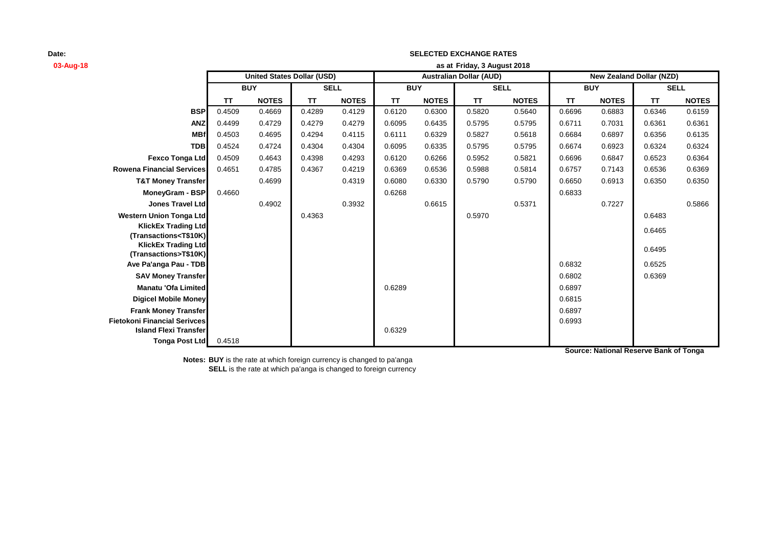| 03-Aug-18                                                                                                                                             | as at Friday, 3 August 2018 |                                   |             |              |            |              |                                |              |            |              |                                 |              |
|-------------------------------------------------------------------------------------------------------------------------------------------------------|-----------------------------|-----------------------------------|-------------|--------------|------------|--------------|--------------------------------|--------------|------------|--------------|---------------------------------|--------------|
|                                                                                                                                                       |                             | <b>United States Dollar (USD)</b> |             |              |            |              | <b>Australian Dollar (AUD)</b> |              |            |              | <b>New Zealand Dollar (NZD)</b> |              |
|                                                                                                                                                       | <b>BUY</b>                  |                                   | <b>SELL</b> |              | <b>BUY</b> |              | <b>SELL</b>                    |              | <b>BUY</b> |              | <b>SELL</b>                     |              |
|                                                                                                                                                       | <b>TT</b>                   | <b>NOTES</b>                      | <b>TT</b>   | <b>NOTES</b> | <b>TT</b>  | <b>NOTES</b> | <b>TT</b>                      | <b>NOTES</b> | <b>TT</b>  | <b>NOTES</b> | TT                              | <b>NOTES</b> |
| <b>BSP</b>                                                                                                                                            | 0.4509                      | 0.4669                            | 0.4289      | 0.4129       | 0.6120     | 0.6300       | 0.5820                         | 0.5640       | 0.6696     | 0.6883       | 0.6346                          | 0.6159       |
| <b>ANZ</b>                                                                                                                                            | 0.4499                      | 0.4729                            | 0.4279      | 0.4279       | 0.6095     | 0.6435       | 0.5795                         | 0.5795       | 0.6711     | 0.7031       | 0.6361                          | 0.6361       |
| <b>MBf</b>                                                                                                                                            | 0.4503                      | 0.4695                            | 0.4294      | 0.4115       | 0.6111     | 0.6329       | 0.5827                         | 0.5618       | 0.6684     | 0.6897       | 0.6356                          | 0.6135       |
| <b>TDB</b>                                                                                                                                            | 0.4524                      | 0.4724                            | 0.4304      | 0.4304       | 0.6095     | 0.6335       | 0.5795                         | 0.5795       | 0.6674     | 0.6923       | 0.6324                          | 0.6324       |
| <b>Fexco Tonga Ltd</b>                                                                                                                                | 0.4509                      | 0.4643                            | 0.4398      | 0.4293       | 0.6120     | 0.6266       | 0.5952                         | 0.5821       | 0.6696     | 0.6847       | 0.6523                          | 0.6364       |
| <b>Rowena Financial Services</b>                                                                                                                      | 0.4651                      | 0.4785                            | 0.4367      | 0.4219       | 0.6369     | 0.6536       | 0.5988                         | 0.5814       | 0.6757     | 0.7143       | 0.6536                          | 0.6369       |
| <b>T&amp;T Money Transfer</b>                                                                                                                         |                             | 0.4699                            |             | 0.4319       | 0.6080     | 0.6330       | 0.5790                         | 0.5790       | 0.6650     | 0.6913       | 0.6350                          | 0.6350       |
| MoneyGram - BSP                                                                                                                                       | 0.4660                      |                                   |             |              | 0.6268     |              |                                |              | 0.6833     |              |                                 |              |
| Jones Travel Ltd                                                                                                                                      |                             | 0.4902                            |             | 0.3932       |            | 0.6615       |                                | 0.5371       |            | 0.7227       |                                 | 0.5866       |
| <b>Western Union Tonga Ltd</b>                                                                                                                        |                             |                                   | 0.4363      |              |            |              | 0.5970                         |              |            |              | 0.6483                          |              |
| <b>KlickEx Trading Ltd</b>                                                                                                                            |                             |                                   |             |              |            |              |                                |              |            |              | 0.6465                          |              |
| (Transactions <t\$10k)< th=""><th></th><th></th><th></th><th></th><th></th><th></th><th></th><th></th><th></th><th></th><th></th><th></th></t\$10k)<> |                             |                                   |             |              |            |              |                                |              |            |              |                                 |              |
| <b>KlickEx Trading Ltd</b><br>(Transactions>T\$10K)                                                                                                   |                             |                                   |             |              |            |              |                                |              |            |              | 0.6495                          |              |
| Ave Pa'anga Pau - TDB                                                                                                                                 |                             |                                   |             |              |            |              |                                |              | 0.6832     |              | 0.6525                          |              |
| <b>SAV Money Transfer</b>                                                                                                                             |                             |                                   |             |              |            |              |                                |              | 0.6802     |              | 0.6369                          |              |
| <b>Manatu 'Ofa Limited</b>                                                                                                                            |                             |                                   |             |              | 0.6289     |              |                                |              | 0.6897     |              |                                 |              |
| <b>Digicel Mobile Money</b>                                                                                                                           |                             |                                   |             |              |            |              |                                |              | 0.6815     |              |                                 |              |
| <b>Frank Money Transfer</b>                                                                                                                           |                             |                                   |             |              |            |              |                                |              | 0.6897     |              |                                 |              |
| <b>Fietokoni Financial Serivces</b>                                                                                                                   |                             |                                   |             |              |            |              |                                |              | 0.6993     |              |                                 |              |
| <b>Island Flexi Transfer</b>                                                                                                                          |                             |                                   |             |              | 0.6329     |              |                                |              |            |              |                                 |              |
| <b>Tonga Post Ltd</b>                                                                                                                                 | 0.4518                      |                                   |             |              |            |              |                                |              |            |              |                                 |              |

**SELECTED EXCHANGE RATES**

**Notes: BUY** is the rate at which foreign currency is changed to pa'anga **SELL** is the rate at which pa'anga is changed to foreign currency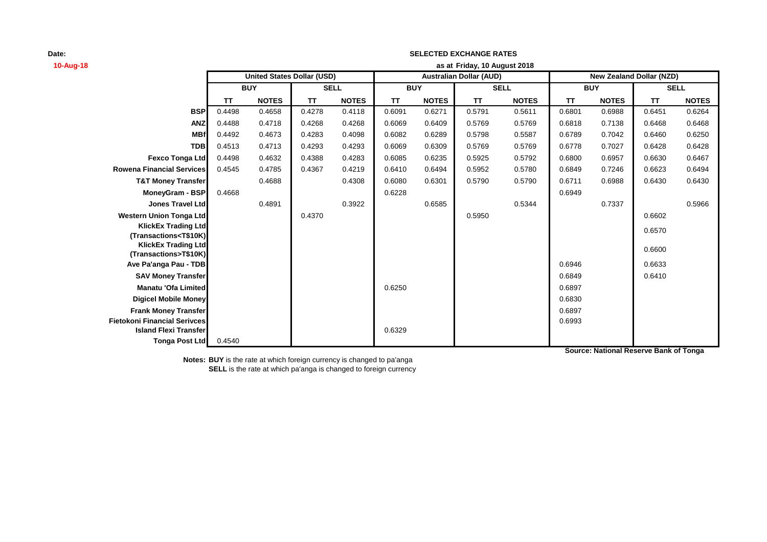| 10-Aug-18                                                         | as at Friday, 10 August 2018 |                                   |             |              |            |              |                                |              |                                 |              |             |              |
|-------------------------------------------------------------------|------------------------------|-----------------------------------|-------------|--------------|------------|--------------|--------------------------------|--------------|---------------------------------|--------------|-------------|--------------|
|                                                                   |                              | <b>United States Dollar (USD)</b> |             |              |            |              | <b>Australian Dollar (AUD)</b> |              | <b>New Zealand Dollar (NZD)</b> |              |             |              |
|                                                                   | <b>BUY</b>                   |                                   | <b>SELL</b> |              | <b>BUY</b> |              | <b>SELL</b>                    |              | <b>BUY</b>                      |              | <b>SELL</b> |              |
|                                                                   | <b>TT</b>                    | <b>NOTES</b>                      | <b>TT</b>   | <b>NOTES</b> | <b>TT</b>  | <b>NOTES</b> | <b>TT</b>                      | <b>NOTES</b> | <b>TT</b>                       | <b>NOTES</b> | TT          | <b>NOTES</b> |
| <b>BSP</b>                                                        | 0.4498                       | 0.4658                            | 0.4278      | 0.4118       | 0.6091     | 0.6271       | 0.5791                         | 0.5611       | 0.6801                          | 0.6988       | 0.6451      | 0.6264       |
| <b>ANZ</b>                                                        | 0.4488                       | 0.4718                            | 0.4268      | 0.4268       | 0.6069     | 0.6409       | 0.5769                         | 0.5769       | 0.6818                          | 0.7138       | 0.6468      | 0.6468       |
| <b>MBf</b>                                                        | 0.4492                       | 0.4673                            | 0.4283      | 0.4098       | 0.6082     | 0.6289       | 0.5798                         | 0.5587       | 0.6789                          | 0.7042       | 0.6460      | 0.6250       |
| <b>TDB</b>                                                        | 0.4513                       | 0.4713                            | 0.4293      | 0.4293       | 0.6069     | 0.6309       | 0.5769                         | 0.5769       | 0.6778                          | 0.7027       | 0.6428      | 0.6428       |
| Fexco Tonga Ltd                                                   | 0.4498                       | 0.4632                            | 0.4388      | 0.4283       | 0.6085     | 0.6235       | 0.5925                         | 0.5792       | 0.6800                          | 0.6957       | 0.6630      | 0.6467       |
| <b>Rowena Financial Services</b>                                  | 0.4545                       | 0.4785                            | 0.4367      | 0.4219       | 0.6410     | 0.6494       | 0.5952                         | 0.5780       | 0.6849                          | 0.7246       | 0.6623      | 0.6494       |
| <b>T&amp;T Money Transfer</b>                                     |                              | 0.4688                            |             | 0.4308       | 0.6080     | 0.6301       | 0.5790                         | 0.5790       | 0.6711                          | 0.6988       | 0.6430      | 0.6430       |
| <b>MoneyGram - BSP</b>                                            | 0.4668                       |                                   |             |              | 0.6228     |              |                                |              | 0.6949                          |              |             |              |
| <b>Jones Travel Ltd</b>                                           |                              | 0.4891                            |             | 0.3922       |            | 0.6585       |                                | 0.5344       |                                 | 0.7337       |             | 0.5966       |
| <b>Western Union Tonga Ltd</b>                                    |                              |                                   | 0.4370      |              |            |              | 0.5950                         |              |                                 |              | 0.6602      |              |
| <b>KlickEx Trading Ltd</b>                                        |                              |                                   |             |              |            |              |                                |              |                                 |              | 0.6570      |              |
| (Transactions <t\$10k)<br><b>KlickEx Trading Ltd</b></t\$10k)<br> |                              |                                   |             |              |            |              |                                |              |                                 |              |             |              |
| (Transactions>T\$10K)                                             |                              |                                   |             |              |            |              |                                |              |                                 |              | 0.6600      |              |
| Ave Pa'anga Pau - TDB                                             |                              |                                   |             |              |            |              |                                |              | 0.6946                          |              | 0.6633      |              |
| <b>SAV Money Transfer</b>                                         |                              |                                   |             |              |            |              |                                |              | 0.6849                          |              | 0.6410      |              |
| <b>Manatu 'Ofa Limited</b>                                        |                              |                                   |             |              | 0.6250     |              |                                |              | 0.6897                          |              |             |              |
| <b>Digicel Mobile Money</b>                                       |                              |                                   |             |              |            |              |                                |              | 0.6830                          |              |             |              |
| <b>Frank Money Transfer</b>                                       |                              |                                   |             |              |            |              |                                |              | 0.6897                          |              |             |              |
| <b>Fietokoni Financial Serivces</b>                               |                              |                                   |             |              |            |              |                                |              | 0.6993                          |              |             |              |
| <b>Island Flexi Transfer</b>                                      |                              |                                   |             |              | 0.6329     |              |                                |              |                                 |              |             |              |
| Tonga Post Ltd                                                    | 0.4540                       |                                   |             |              |            |              |                                |              |                                 |              |             |              |

**SELECTED EXCHANGE RATES**

**Notes: BUY** is the rate at which foreign currency is changed to pa'anga **SELL** is the rate at which pa'anga is changed to foreign currency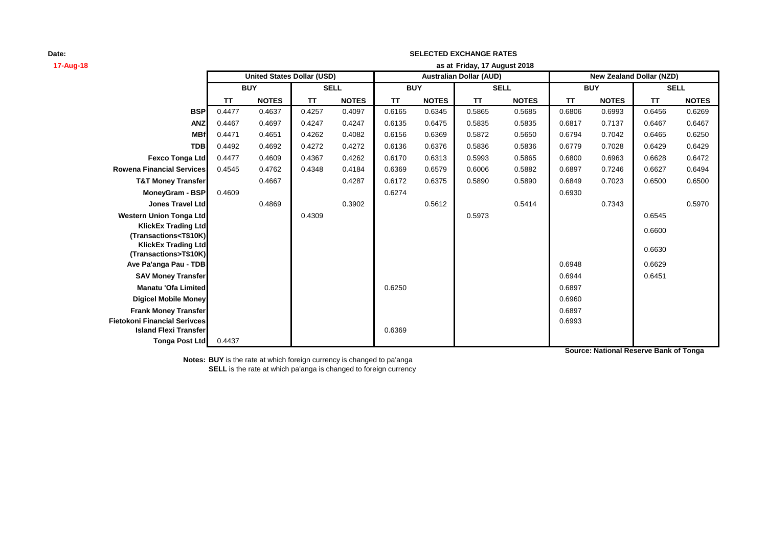| 17-Aug-18                                                         | as at Friday, 17 August 2018 |                                   |             |              |            |              |                                |              |                                 |              |             |              |
|-------------------------------------------------------------------|------------------------------|-----------------------------------|-------------|--------------|------------|--------------|--------------------------------|--------------|---------------------------------|--------------|-------------|--------------|
|                                                                   |                              | <b>United States Dollar (USD)</b> |             |              |            |              | <b>Australian Dollar (AUD)</b> |              | <b>New Zealand Dollar (NZD)</b> |              |             |              |
|                                                                   | <b>BUY</b>                   |                                   | <b>SELL</b> |              | <b>BUY</b> |              | <b>SELL</b>                    |              | <b>BUY</b>                      |              | <b>SELL</b> |              |
|                                                                   | <b>TT</b>                    | <b>NOTES</b>                      | <b>TT</b>   | <b>NOTES</b> | <b>TT</b>  | <b>NOTES</b> | <b>TT</b>                      | <b>NOTES</b> | <b>TT</b>                       | <b>NOTES</b> | <b>TT</b>   | <b>NOTES</b> |
| <b>BSP</b>                                                        | 0.4477                       | 0.4637                            | 0.4257      | 0.4097       | 0.6165     | 0.6345       | 0.5865                         | 0.5685       | 0.6806                          | 0.6993       | 0.6456      | 0.6269       |
| <b>ANZ</b>                                                        | 0.4467                       | 0.4697                            | 0.4247      | 0.4247       | 0.6135     | 0.6475       | 0.5835                         | 0.5835       | 0.6817                          | 0.7137       | 0.6467      | 0.6467       |
| <b>MBf</b>                                                        | 0.4471                       | 0.4651                            | 0.4262      | 0.4082       | 0.6156     | 0.6369       | 0.5872                         | 0.5650       | 0.6794                          | 0.7042       | 0.6465      | 0.6250       |
| <b>TDB</b>                                                        | 0.4492                       | 0.4692                            | 0.4272      | 0.4272       | 0.6136     | 0.6376       | 0.5836                         | 0.5836       | 0.6779                          | 0.7028       | 0.6429      | 0.6429       |
| Fexco Tonga Ltd                                                   | 0.4477                       | 0.4609                            | 0.4367      | 0.4262       | 0.6170     | 0.6313       | 0.5993                         | 0.5865       | 0.6800                          | 0.6963       | 0.6628      | 0.6472       |
| <b>Rowena Financial Services</b>                                  | 0.4545                       | 0.4762                            | 0.4348      | 0.4184       | 0.6369     | 0.6579       | 0.6006                         | 0.5882       | 0.6897                          | 0.7246       | 0.6627      | 0.6494       |
| <b>T&amp;T Money Transfer</b>                                     |                              | 0.4667                            |             | 0.4287       | 0.6172     | 0.6375       | 0.5890                         | 0.5890       | 0.6849                          | 0.7023       | 0.6500      | 0.6500       |
| MoneyGram - BSP                                                   | 0.4609                       |                                   |             |              | 0.6274     |              |                                |              | 0.6930                          |              |             |              |
| <b>Jones Travel Ltd</b>                                           |                              | 0.4869                            |             | 0.3902       |            | 0.5612       |                                | 0.5414       |                                 | 0.7343       |             | 0.5970       |
| <b>Western Union Tonga Ltd</b>                                    |                              |                                   | 0.4309      |              |            |              | 0.5973                         |              |                                 |              | 0.6545      |              |
| <b>KlickEx Trading Ltd</b>                                        |                              |                                   |             |              |            |              |                                |              |                                 |              | 0.6600      |              |
| (Transactions <t\$10k)<br><b>KlickEx Trading Ltd</b></t\$10k)<br> |                              |                                   |             |              |            |              |                                |              |                                 |              |             |              |
| (Transactions>T\$10K)                                             |                              |                                   |             |              |            |              |                                |              |                                 |              | 0.6630      |              |
| Ave Pa'anga Pau - TDB                                             |                              |                                   |             |              |            |              |                                |              | 0.6948                          |              | 0.6629      |              |
| <b>SAV Money Transfer</b>                                         |                              |                                   |             |              |            |              |                                |              | 0.6944                          |              | 0.6451      |              |
| <b>Manatu 'Ofa Limited</b>                                        |                              |                                   |             |              | 0.6250     |              |                                |              | 0.6897                          |              |             |              |
| <b>Digicel Mobile Money</b>                                       |                              |                                   |             |              |            |              |                                |              | 0.6960                          |              |             |              |
| <b>Frank Money Transfer</b>                                       |                              |                                   |             |              |            |              |                                |              | 0.6897                          |              |             |              |
| <b>Fietokoni Financial Serivces</b>                               |                              |                                   |             |              |            |              |                                |              | 0.6993                          |              |             |              |
| <b>Island Flexi Transfer</b>                                      |                              |                                   |             |              | 0.6369     |              |                                |              |                                 |              |             |              |
| Tonga Post Ltd                                                    | 0.4437                       |                                   |             |              |            |              |                                |              |                                 |              |             |              |

**SELECTED EXCHANGE RATES**

**Notes: BUY** is the rate at which foreign currency is changed to pa'anga **SELL** is the rate at which pa'anga is changed to foreign currency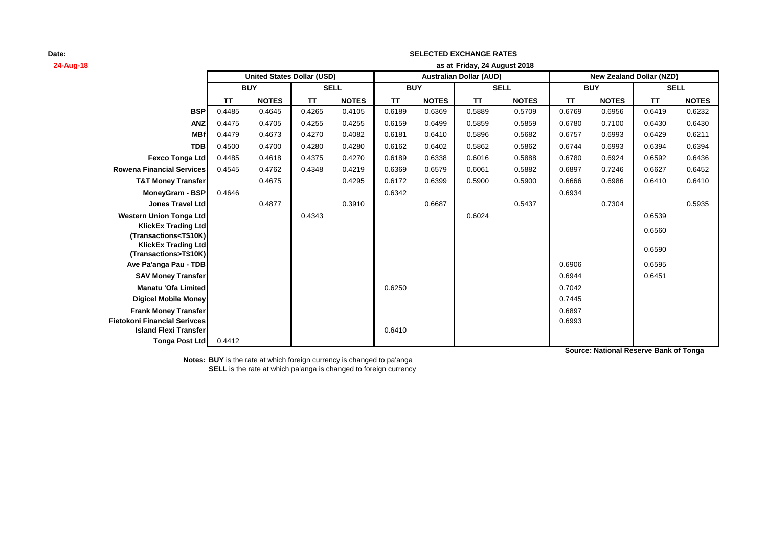| 24-Aug-18                                                         | as at Friday, 24 August 2018 |                                   |             |              |            |              |                                |              |            |              |                                 |              |
|-------------------------------------------------------------------|------------------------------|-----------------------------------|-------------|--------------|------------|--------------|--------------------------------|--------------|------------|--------------|---------------------------------|--------------|
|                                                                   |                              | <b>United States Dollar (USD)</b> |             |              |            |              | <b>Australian Dollar (AUD)</b> |              |            |              | <b>New Zealand Dollar (NZD)</b> |              |
|                                                                   | <b>BUY</b>                   |                                   | <b>SELL</b> |              | <b>BUY</b> |              | <b>SELL</b>                    |              | <b>BUY</b> |              | <b>SELL</b>                     |              |
|                                                                   | <b>TT</b>                    | <b>NOTES</b>                      | <b>TT</b>   | <b>NOTES</b> | <b>TT</b>  | <b>NOTES</b> | <b>TT</b>                      | <b>NOTES</b> | TT         | <b>NOTES</b> | <b>TT</b>                       | <b>NOTES</b> |
| <b>BSP</b>                                                        | 0.4485                       | 0.4645                            | 0.4265      | 0.4105       | 0.6189     | 0.6369       | 0.5889                         | 0.5709       | 0.6769     | 0.6956       | 0.6419                          | 0.6232       |
| <b>ANZ</b>                                                        | 0.4475                       | 0.4705                            | 0.4255      | 0.4255       | 0.6159     | 0.6499       | 0.5859                         | 0.5859       | 0.6780     | 0.7100       | 0.6430                          | 0.6430       |
| <b>MBf</b>                                                        | 0.4479                       | 0.4673                            | 0.4270      | 0.4082       | 0.6181     | 0.6410       | 0.5896                         | 0.5682       | 0.6757     | 0.6993       | 0.6429                          | 0.6211       |
| <b>TDB</b>                                                        | 0.4500                       | 0.4700                            | 0.4280      | 0.4280       | 0.6162     | 0.6402       | 0.5862                         | 0.5862       | 0.6744     | 0.6993       | 0.6394                          | 0.6394       |
| Fexco Tonga Ltd                                                   | 0.4485                       | 0.4618                            | 0.4375      | 0.4270       | 0.6189     | 0.6338       | 0.6016                         | 0.5888       | 0.6780     | 0.6924       | 0.6592                          | 0.6436       |
| <b>Rowena Financial Services</b>                                  | 0.4545                       | 0.4762                            | 0.4348      | 0.4219       | 0.6369     | 0.6579       | 0.6061                         | 0.5882       | 0.6897     | 0.7246       | 0.6627                          | 0.6452       |
| <b>T&amp;T Money Transfer</b>                                     |                              | 0.4675                            |             | 0.4295       | 0.6172     | 0.6399       | 0.5900                         | 0.5900       | 0.6666     | 0.6986       | 0.6410                          | 0.6410       |
| <b>MoneyGram - BSP</b>                                            | 0.4646                       |                                   |             |              | 0.6342     |              |                                |              | 0.6934     |              |                                 |              |
| <b>Jones Travel Ltd</b>                                           |                              | 0.4877                            |             | 0.3910       |            | 0.6687       |                                | 0.5437       |            | 0.7304       |                                 | 0.5935       |
| <b>Western Union Tonga Ltd</b>                                    |                              |                                   | 0.4343      |              |            |              | 0.6024                         |              |            |              | 0.6539                          |              |
| <b>KlickEx Trading Ltd</b>                                        |                              |                                   |             |              |            |              |                                |              |            |              | 0.6560                          |              |
| (Transactions <t\$10k)<br><b>KlickEx Trading Ltd</b></t\$10k)<br> |                              |                                   |             |              |            |              |                                |              |            |              |                                 |              |
| (Transactions>T\$10K)                                             |                              |                                   |             |              |            |              |                                |              |            |              | 0.6590                          |              |
| Ave Pa'anga Pau - TDB                                             |                              |                                   |             |              |            |              |                                |              | 0.6906     |              | 0.6595                          |              |
| <b>SAV Money Transfer</b>                                         |                              |                                   |             |              |            |              |                                |              | 0.6944     |              | 0.6451                          |              |
| <b>Manatu 'Ofa Limited</b>                                        |                              |                                   |             |              | 0.6250     |              |                                |              | 0.7042     |              |                                 |              |
| <b>Digicel Mobile Money</b>                                       |                              |                                   |             |              |            |              |                                |              | 0.7445     |              |                                 |              |
| <b>Frank Money Transfer</b>                                       |                              |                                   |             |              |            |              |                                |              | 0.6897     |              |                                 |              |
| <b>Fietokoni Financial Serivces</b>                               |                              |                                   |             |              |            |              |                                |              | 0.6993     |              |                                 |              |
| <b>Island Flexi Transfer</b>                                      |                              |                                   |             |              | 0.6410     |              |                                |              |            |              |                                 |              |
| Tonga Post Ltd                                                    | 0.4412                       |                                   |             |              |            |              |                                |              |            |              |                                 |              |

**SELECTED EXCHANGE RATES**

**Notes: BUY** is the rate at which foreign currency is changed to pa'anga **SELL** is the rate at which pa'anga is changed to foreign currency